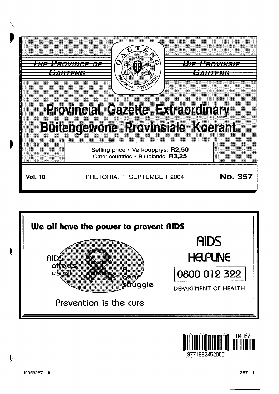





9771682452005

 $\mathbf{b}$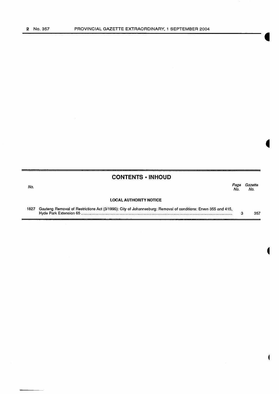### **CONTENTS • INHOUD**

No. Page Gazette No. No.

#### **LOCAL AUTHORITY NOTICE**

1827 Gauteng Removal of Restrictions Act (3/1996): City of Johannesburg: Removal of conditions: Erven 355 and 415, Hyde Park Extension 65 .............................................................................................................................................. .. 3 357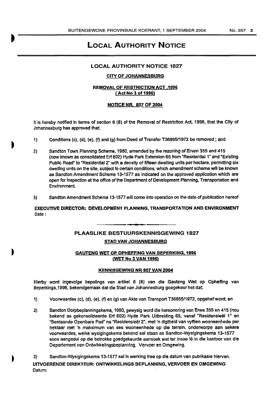## LOCAL AUTHORITY NOTICE

#### LOCAL AUTHORITY NOTICE 1827

#### CITY OF JOHANNESBURG

#### REMOVAL OF RESTRICTION ACT .1996 (Act No 3 of 1996)

#### **NOTICE NR. 807 OF 2004**

It is hereby notified In terms of section 6 (8) of the Removal of Restriction Act. 1996, that the City of Johannesburg has approved that;

- 1) Conditions (c), (d), (e), (f) and {g) from Deed of Transfer T36865/1972 be removed ; and
- 2) Sandton Town Planning Scheme, 1980, amended by the rezoning of Erven 355 and 415 (now known as consolidated Erf 602) Hyde Park Extension 65 from "Residential 1" and "Existing Public Road" to "Residential 2" with a density of fifteen dwelling units per hectare. permitting six dwelling units on the site, subject to certain conditions, which amendment scheme will be known as Sandton Amendment Scheme 13·1577 as indicated on the approved application which are open for Inspection at the office of the Department of Development Planning, Transportation and Environment
- 3) Sandton Amendment Scheme 13-1577 will come into operation on the date of publication hereof

EXECUTIVE DIRECTOR: DEVELOPMENT PLANNING, TRANSPORTATION AND ENVIRONMENT Date:

# PLAASLIKE BESTUURSKENNISGEWING 1827

#### STAD VAN JOHANNESBURG

#### GAUTENG WET OP OPHEFFING VAN BEPERKING, 1996 (WET No 3 VAN 1996)

#### KENNISGEWING NR 807 VAN 2004

Hierby word ingevolge bepalings van artikel 6 (B) van die Gauteng Wet op Opheffing van Beperkings,1996, bekendgemaak dat die Stad van Johannesburg goegekeur het dat.

- 1) Voorwaardes (c), (d), (e), (f) en (g) van Akte van Transport T36865/1972, opgehef word; en
- 2} Sandton Dorpbeplanningskema, 1980, gewysig word die hersonering van Erwe 355 en 415 (nou bekend as gekonsolldeerde Erf 602) Hyde Park Uitbreiding 65, vanaf "Residensleel 1" en "Bestaande Openbare Pad" na "Residensieël 2", met 'n digtheid van vyftien wooneenhede per hektaar met 'n rnaksimum van ses wooneenhede op die terreln. onderworpe aan sekere voorwaardes, welke wysigingskema bekend sal staan as Sandton-Wyslglngskema 13·1577 soos aangedui op die betrokke goedgekeurde aansoek wat ter insae lê in die kantoor van die Departement van Ontwlkke!lngsbeplannlng, Vervoer en Omgewing.
- 3) Sandton-Wysigingskema 13-1577 sal In werklng tree op die datum van publikasie hiervan. UITVOERENDE DIREKTEUR: ONTWIKKELINGS BEPLANNING, VERVOER EN OMGEWING Datum: